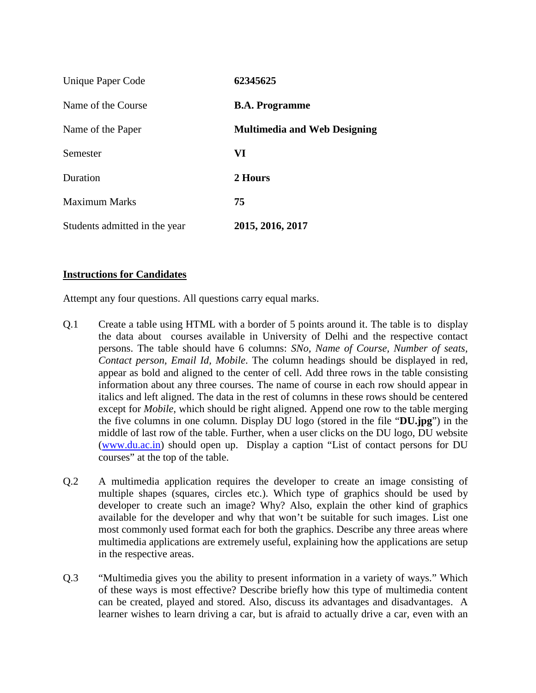| Unique Paper Code             | 62345625                            |
|-------------------------------|-------------------------------------|
| Name of the Course            | <b>B.A. Programme</b>               |
| Name of the Paper             | <b>Multimedia and Web Designing</b> |
| Semester                      | VI                                  |
| Duration                      | 2 Hours                             |
| <b>Maximum Marks</b>          | 75                                  |
| Students admitted in the year | 2015, 2016, 2017                    |

## **Instructions for Candidates**

Attempt any four questions. All questions carry equal marks.

- Q.1 Create a table using HTML with a border of 5 points around it. The table is to display the data about courses available in University of Delhi and the respective contact persons. The table should have 6 columns: *SNo, Name of Course, Number of seats, Contact person, Email Id, Mobile*. The column headings should be displayed in red, appear as bold and aligned to the center of cell. Add three rows in the table consisting information about any three courses. The name of course in each row should appear in italics and left aligned. The data in the rest of columns in these rows should be centered except for *Mobile*, which should be right aligned. Append one row to the table merging the five columns in one column. Display DU logo (stored in the file "**DU.jpg**") in the middle of last row of the table. Further, when a user clicks on the DU logo, DU website [\(www.du.ac.in\)](http://www.du.ac.in/) should open up. Display a caption "List of contact persons for DU courses" at the top of the table.
- Q.2 A multimedia application requires the developer to create an image consisting of multiple shapes (squares, circles etc.). Which type of graphics should be used by developer to create such an image? Why? Also, explain the other kind of graphics available for the developer and why that won't be suitable for such images. List one most commonly used format each for both the graphics. Describe any three areas where multimedia applications are extremely useful, explaining how the applications are setup in the respective areas.
- Q.3 "Multimedia gives you the ability to present information in a variety of ways." Which of these ways is most effective? Describe briefly how this type of multimedia content can be created, played and stored. Also, discuss its advantages and disadvantages. A learner wishes to learn driving a car, but is afraid to actually drive a car, even with an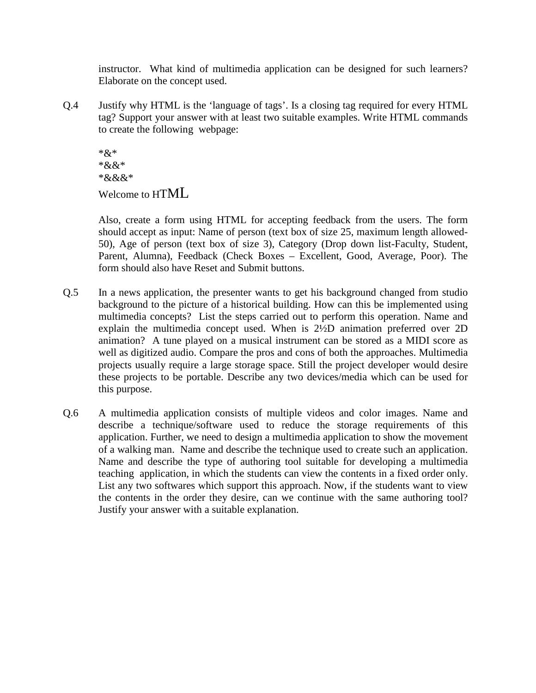instructor. What kind of multimedia application can be designed for such learners? Elaborate on the concept used.

Q.4 Justify why HTML is the 'language of tags'. Is a closing tag required for every HTML tag? Support your answer with at least two suitable examples. Write HTML commands to create the following webpage:

\*&\* \*&&\* \*&&&\* Welcome to HTML

Also, create a form using HTML for accepting feedback from the users. The form should accept as input: Name of person (text box of size 25, maximum length allowed-50), Age of person (text box of size 3), Category (Drop down list-Faculty, Student, Parent, Alumna), Feedback (Check Boxes – Excellent, Good, Average, Poor). The form should also have Reset and Submit buttons.

- Q.5 In a news application, the presenter wants to get his background changed from studio background to the picture of a historical building. How can this be implemented using multimedia concepts? List the steps carried out to perform this operation. Name and explain the multimedia concept used. When is 2½D animation preferred over 2D animation? A tune played on a musical instrument can be stored as a MIDI score as well as digitized audio. Compare the pros and cons of both the approaches. Multimedia projects usually require a large storage space. Still the project developer would desire these projects to be portable. Describe any two devices/media which can be used for this purpose.
- Q.6 A multimedia application consists of multiple videos and color images. Name and describe a technique/software used to reduce the storage requirements of this application. Further, we need to design a multimedia application to show the movement of a walking man. Name and describe the technique used to create such an application. Name and describe the type of authoring tool suitable for developing a multimedia teaching application, in which the students can view the contents in a fixed order only. List any two softwares which support this approach. Now, if the students want to view the contents in the order they desire, can we continue with the same authoring tool? Justify your answer with a suitable explanation.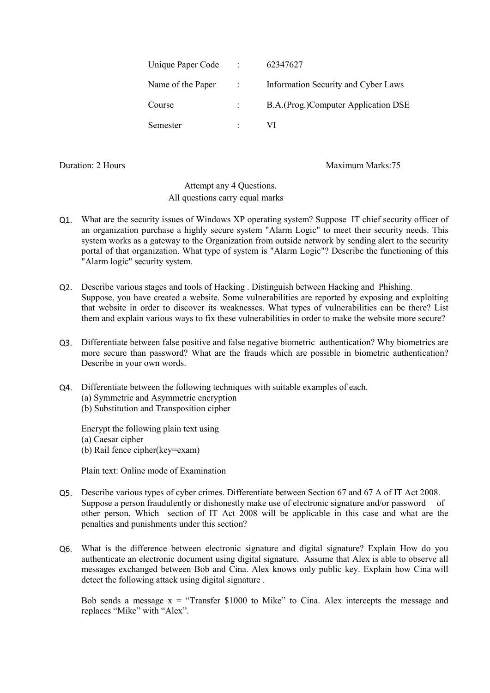| Unique Paper Code | $\sim 100$  | 62347627                            |
|-------------------|-------------|-------------------------------------|
| Name of the Paper | $\sim 1000$ | Information Security and Cyber Laws |
| Course            |             | B.A.(Prog.)Computer Application DSE |
| Semester          |             | VI.                                 |

Duration: 2 Hours Maximum Marks: 75

## Attempt any 4 Questions. All questions carry equal marks

- Q1. What are the security issues of Windows XP operating system? Suppose IT chief security officer of an organization purchase a highly secure system "Alarm Logic" to meet their security needs. This system works as a gateway to the Organization from outside network by sending alert to the security portal of that organization. What type of system is "Alarm Logic"? Describe the functioning of this "Alarm logic" security system.
- Q2. Describe various stages and tools of Hacking . Distinguish between Hacking and Phishing. Suppose, you have created a website. Some vulnerabilities are reported by exposing and exploiting that website in order to discover its weaknesses. What types of vulnerabilities can be there? List them and explain various ways to fix these vulnerabilities in order to make the website more secure?
- Q3. Differentiate between false positive and false negative biometric authentication? Why biometrics are more secure than password? What are the frauds which are possible in biometric authentication? Describe in your own words.
- Q4. Differentiate between the following techniques with suitable examples of each.
	- (a) Symmetric and Asymmetric encryption
	- (b) Substitution and Transposition cipher

Encrypt the following plain text using (a) Caesar cipher (b) Rail fence cipher(key=exam)

Plain text: Online mode of Examination

- Q5. Describe various types of cyber crimes. Differentiate between Section 67 and 67 A of IT Act 2008. Suppose a person fraudulently or dishonestly make use of electronic signature and/or password of other person. Which section of IT Act 2008 will be applicable in this case and what are the penalties and punishments under this section?
- Q6. What is the difference between electronic signature and digital signature? Explain How do you authenticate an electronic document using digital signature. Assume that Alex is able to observe all messages exchanged between Bob and Cina. Alex knows only public key. Explain how Cina will detect the following attack using digital signature .

Bob sends a message  $x =$  "Transfer \$1000 to Mike" to Cina. Alex intercepts the message and replaces "Mike" with "Alex".